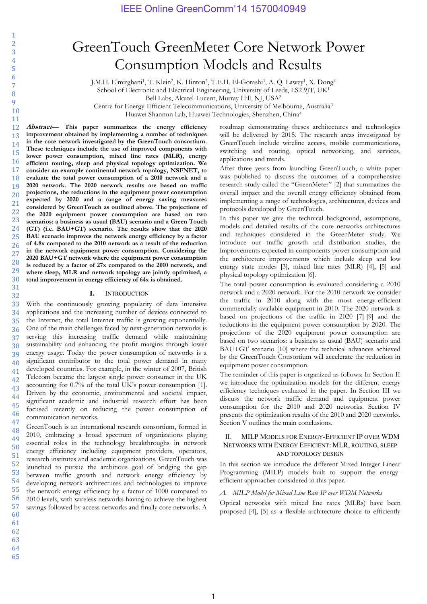# GreenTouch GreenMeter Core Network Power Consumption Models and Results

J.M.H. Elmirghani<sup>1</sup>, T. Klein<sup>2</sup>, K. Hinton<sup>3</sup>, T.E.H. El-Gorashi<sup>1</sup>, A. Q. Lawey<sup>1</sup>, X. Dong<sup>4</sup>

School of Electronic and Electrical Engineering, University of Leeds, LS2 9JT, UK<sup>1</sup>

Bell Labs, Alcatel-Lucent, Murray Hill, NJ, USA2

Centre for Energy-Efficient Telecommunications, University of Melbourne, Australia3

Huawei Shannon Lab, Huawei Technologies, Shenzhen, China4

**Abstract**— **This paper summarizes the energy efficiency improvement obtained by implementing a number of techniques in the core network investigated by the GreenTouch consortium. These techniques include the use of improved components with lower power consumption, mixed line rates (MLR), energy efficient routing, sleep and physical topology optimization. We consider an example continental network topology, NSFNET, to evaluate the total power consumption of a 2010 network and a 2020 network. The 2020 network results are based on traffic projections, the reductions in the equipment power consumption expected by 2020 and a range of energy saving measures considered by GreenTouch as outlined above. The projections of the 2020 equipment power consumption are based on two scenarios: a business as usual (BAU) scenario and a Green Touch (GT) (i.e. BAU+GT) scenario. The results show that the 2020 BAU scenario improves the network energy efficiency by a factor of 4.8x compared to the 2010 network as a result of the reduction in the network equipment power consumption. Considering the 2020 BAU+GT network where the equipment power consumption is reduced by a factor of 27x compared to the 2010 network, and where sleep, MLR and network topology are jointly optimized, a total improvement in energy efficiency of 64x is obtained.** 

### **I.** INTRODUCTION

37 38 39  $40$ 41 42 43 44 45 46 With the continuously growing popularity of data intensive applications and the increasing number of devices connected to the Internet, the total Internet traffic is growing exponentially. One of the main challenges faced by next-generation networks is serving this increasing traffic demand while maintaining sustainability and enhancing the profit margins through lower energy usage. Today the power consumption of networks is a significant contributor to the total power demand in many developed countries. For example, in the winter of 2007, British Telecom became the largest single power consumer in the UK accounting for 0.7% of the total UK's power consumption [1]. Driven by the economic, environmental and societal impact, significant academic and industrial research effort has been focused recently on reducing the power consumption of communication networks.

47 48 49 50 51 52 53 54 55 56 57 60 GreenTouch is an international research consortium, formed in 2010, embracing a broad spectrum of organizations playing essential roles in the technology breakthroughs in network energy efficiency including equipment providers, operators, research institutes and academic organizations. GreenTouch was launched to pursue the ambitious goal of bridging the gap between traffic growth and network energy efficiency by developing network architectures and technologies to improve the network energy efficiency by a factor of 1000 compared to 2010 levels, with wireless networks having to achieve the highest savings followed by access networks and finally core networks. A

roadmap demonstrating theses architectures and technologies will be delivered by 2015. The research areas investigated by GreenTouch include wireline access, mobile communications, switching and routing, optical networking, and services, applications and trends.

After three years from launching GreenTouch, a white paper was published to discuss the outcomes of a comprehensive research study called the "GreenMeter" [2] that summarizes the overall impact and the overall energy efficiency obtained from implementing a range of technologies, architectures, devices and protocols developed by GreenTouch.

In this paper we give the technical background, assumptions, models and detailed results of the core networks architectures and techniques considered in the GreenMeter study. We introduce our traffic growth and distribution studies, the improvements expected in components power consumption and the architecture improvements which include sleep and low energy state modes [3], mixed line rates (MLR) [4], [5] and physical topology optimization [6].

The total power consumption is evaluated considering a 2010 network and a 2020 network. For the 2010 network we consider the traffic in 2010 along with the most energy-efficient commercially available equipment in 2010. The 2020 network is based on projections of the traffic in 2020 [7]-[9] and the reductions in the equipment power consumption by 2020. The projections of the 2020 equipment power consumption are based on two scenarios: a business as usual (BAU) scenario and BAU+GT scenario [10] where the technical advances achieved by the GreenTouch Consortium will accelerate the reduction in equipment power consumption.

The reminder of this paper is organized as follows: In Section II we introduce the optimization models for the different energy efficiency techniques evaluated in the paper. In Section III we discuss the network traffic demand and equipment power consumption for the 2010 and 2020 networks. Section IV presents the optimization results of the 2010 and 2020 networks. Section V outlines the main conclusions.

## II. MILP MODELS FOR ENERGY-EFFICIENT IP OVER WDM NETWORKS WITH ENERGY EFFICIENT: MLR, ROUTING, SLEEP AND TOPOLOGY DESIGN

In this section we introduce the different Mixed Integer Linear Programming (MILP) models built to support the energyefficient approaches considered in this paper.

## *A. MILP Model for Mixed Line Rate IP over WDM Networks*

Optical networks with mixed line rates (MLRs) have been proposed [4], [5] as a flexible architecture choice to efficiently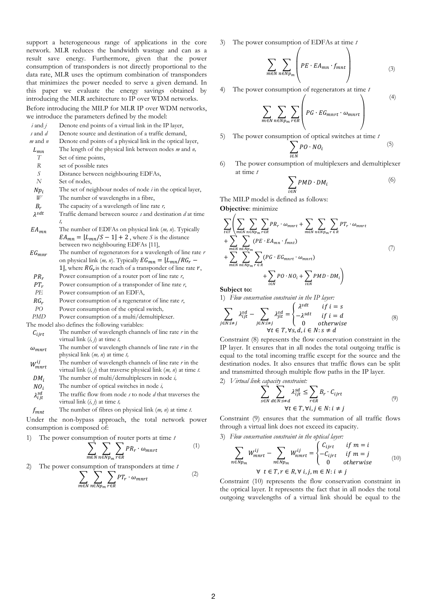support a heterogeneous range of applications in the core network. MLR reduces the bandwidth wastage and can as a result save energy. Furthermore, given that the power consumption of transponders is not directly proportional to the data rate, MLR uses the optimum combination of transponders that minimizes the power needed to serve a given demand. In this paper we evaluate the energy savings obtained by introducing the MLR architecture to IP over WDM networks. Before introducing the MILP for MLR IP over WDM networks, we introduce the parameters defined by the model:

| $i$ and $j$     | Denote end points of a virtual link in the IP layer,                                  |
|-----------------|---------------------------------------------------------------------------------------|
| s and $d$       | Denote source and destination of a traffic demand,                                    |
| $m$ and $n$     | Denote end points of a physical link in the optical layer,                            |
| $L_{mn}$        | The length of the physical link between nodes $m$ and $n$ ,                           |
| T               | Set of time points,                                                                   |
| R               | set of possible rates                                                                 |
| S               | Distance between neighbouring EDFAs,                                                  |
| N               | Set of nodes,                                                                         |
| $N p_i$         | The set of neighbour nodes of node $i$ in the optical layer,                          |
| W               | The number of wavelengths in a fibre,                                                 |
| $B_r$           | The capacity of a wavelength of line rate $r$ ,                                       |
| $\lambda^{sdt}$ | Traffic demand between source s and destination d at time                             |
|                 | t,                                                                                    |
| $EA_{mn}$       | The number of EDFAs on physical link $(m, n)$ . Typically                             |
|                 | $EA_{mn} = \lfloor L_{mn}/S - 1 \rfloor + 2$ , where S is the distance                |
|                 | between two neighbouring EDFAs [11],                                                  |
| $EG_{mnr}$      | The number of regenerators for a wavelength of line rate $r$                          |
|                 | on physical link ( <i>m</i> , <i>n</i> ). Typically $EG_{mn} = \frac{L_{mn}}{RG_r}$ – |
|                 | 1, where $RG_r$ is the reach of a transponder of line rate r,                         |
| $PR_r$          | Power consumption of a router port of line rate $r$ ,                                 |
| $PT_r$          | Power consumption of a transponder of line rate $r$ ,                                 |
| PЕ              | Power consumption of an EDFA,                                                         |
|                 |                                                                                       |

- $RG_r$  Power consumption of a regenerator of line rate *r*,
- *PO* Power consumption of the optical switch*,*

*PMD* Power consumption of a multi/demultiplexer.

The model also defines the following variables:

- $C_{ijrt}$  The number of wavelength channels of line rate  $r$  in the virtual link (*i, j*) at time *t,*
- $\omega_{m n r t}$  The number of wavelength channels of line rate *r* in the physical link (*m, n*) at time *t,*
- $W_{m n r t}^{ij}$  The number of wavelength channels of line rate *r* in the virtual link (*i, j*) that traverse physical link (*m, n*) at time *t.*
- DM<sub>i</sub> The number of multi/demultiplexers in node *i*,
- The number of optical switches in node *i,*
- $\lambda_{ijt}^{sd}$  The traffic flow from node *s* to node *d* that traverses the virtual link (*i, j*) at time *t,*
- The number of fibres on physical link (*m, n*) at time *t*.

Under the non-bypass approach, the total network power consumption is composed of:

1) The power consumption of router ports at time *t*

$$
\sum_{m \in N} \sum_{n \in N} \sum_{p_m} PR_r \cdot \omega_{mnt} \tag{1}
$$

2) The power consumption of transponders at time *t*

$$
\sum_{m \in N} \sum_{n \in N} \sum_{p_m} PT_r \cdot \omega_{mnt} \tag{2}
$$

3) The power consumption of EDFAs at time *t*

$$
\sum_{m \in N} \sum_{n \in N} \left( PE \cdot EA_{mn} \cdot f_{mnt} \right) \tag{3}
$$

(4)

4) The power consumption of regenerators at time *t*

$$
\sum_{m \in N} \sum_{n \in Np_m} \sum_{r \in R} \left( PG \cdot EG_{mnrt} \cdot \omega_{mnrt} \right)
$$

- 5) The power consumption of optical switches at time *t* **}** P i (5)
- 6) The power consumption of multiplexers and demultiplexer at time *t*

$$
\sum_{i \in N} PMD \cdot DM_i \tag{6}
$$

The MILP model is defined as follows:

 $\overline{m}$ 

**Objective**: minimize

$$
\sum_{t \in T} \left( \sum_{m \in N} \sum_{n \in Np_m} \sum_{r \in R} PR_r \cdot \omega_{mnt} + \sum_{m \in N} \sum_{n \in Np_m} \sum_{r \in R} PT_r \cdot \omega_{mnt} + \sum_{m \in Np_m} \sum_{n \in Np_m} (PE \cdot EA_{mn} \cdot f_{mnt}) + \sum_{m \in N} \sum_{n \in Np_m} \sum_{r \in R} (PG \cdot EG_{mnt} \cdot \omega_{mnt}) + \sum_{i \in N} PO \cdot NO_i + \sum_{i \in N} PMD \cdot DM_i \right)
$$
\n(7)

**Subject to:**

 $\boldsymbol{r}$ 

1) *Flow conservation constraint in the IP layer:* 

$$
\sum_{j \in N: i \neq j} \lambda_{ijt}^{sd} - \sum_{j \in N: i \neq j} \lambda_{jit}^{sd} = \begin{cases} \lambda^{sdt} & \text{if } i = s \\ -\lambda^{sdt} & \text{if } i = d \\ 0 & \text{otherwise} \end{cases}
$$
\n(8)

Constraint (8) represents the flow conservation constraint in the IP layer. It ensures that in all nodes the total outgoing traffic is equal to the total incoming traffic except for the source and the destination nodes. It also ensures that traffic flows can be split and transmitted through multiple flow paths in the IP layer.

2) *Virtual link capacity constraint:* 

$$
\sum_{s \in N} \sum_{d \in N: s \neq d} \lambda_{ijt}^{sd} \leq \sum_{r \in R} B_r \cdot C_{ijrt}
$$
  
\n
$$
\forall t \in T, \forall i, j \in N: i \neq j
$$
 (9)

Constraint (9) ensures that the summation of all traffic flows through a virtual link does not exceed its capacity.

3) *Flow conservation constraint in the optical layer:* 

$$
\sum_{i \in Np_m} W_{m n r t}^{ij} - \sum_{n \in Np_m} W_{m m r t}^{ij} = \begin{cases} C_{ij r t} & \text{if } m = i \\ -C_{ij r t} & \text{if } m = j \\ 0 & \text{otherwise} \end{cases} \tag{10}
$$
\n
$$
\forall \ t \in T, r \in R, \forall \ i, j, m \in N: i \neq j
$$

Constraint (10) represents the flow conservation constraint in the optical layer. It represents the fact that in all nodes the total outgoing wavelengths of a virtual link should be equal to the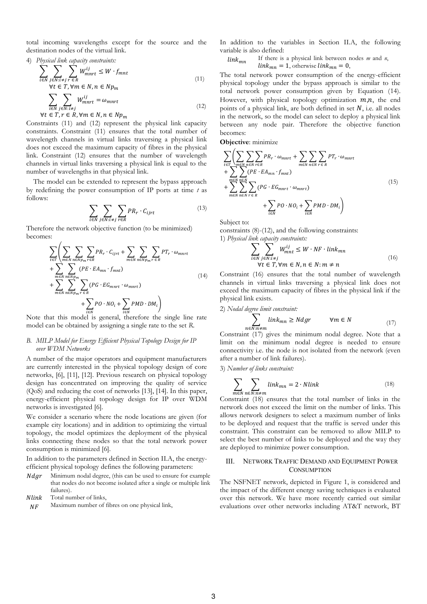total incoming wavelengths except for the source and the destination nodes of the virtual link.

4) Physical link capacity constraints:  
\n
$$
\sum_{i \in N} \sum_{j \in N: i \neq j} \sum_{r \in R} W_{mnt}^{ij} \leq W \cdot f_{mnt}
$$
\n
$$
\forall t \in T, \forall m \in N, n \in Np_m
$$
\n(11)

$$
\sum_{i \in N} \sum_{j \in N: i \neq j} W_{mnt}^{ij} = \omega_{mnt}
$$
  
\n
$$
\forall t \in T, r \in R, \forall m \in N, n \in Np_m
$$
\n(12)

Constraints (11) and (12) represent the physical link capacity constraints. Constraint (11) ensures that the total number of wavelength channels in virtual links traversing a physical link does not exceed the maximum capacity of fibres in the physical link. Constraint (12) ensures that the number of wavelength channels in virtual links traversing a physical link is equal to the number of wavelengths in that physical link.

The model can be extended to represent the bypass approach by redefining the power consumption of IP ports at time *t* as follows:

$$
\sum_{i \in N} \sum_{j \in N: i \neq j} \sum_{r \in R} PR_r \cdot C_{ijrt} \tag{13}
$$

Therefore the network objective function (to be minimized) becomes:

$$
\sum_{t \in T} \left( \sum_{m \in N} \sum_{n \in Np_m} \sum_{r \in R} P R_r \cdot C_{ijrt} + \sum_{m \in N} \sum_{n \in Np_m} \sum_{r \in R} P T_r \cdot \omega_{mnrt} \right. \n+ \sum_{m \in N} \sum_{n \in Np_m} (PE \cdot EA_{mn} \cdot f_{mnt}) \n+ \sum_{m \in N} \sum_{n \in Np_m} \sum_{r \in R} (PG \cdot EG_{mnrt} \cdot \omega_{mnrt}) \n+ \sum_{i \in N} PO \cdot NO_i + \sum_{i \in N} PMD \cdot DM_i \right)
$$
\n(14)

Note that this model is general, therefore the single line rate model can be obtained by assigning a single rate to the set *R*.

### *B. MILP Model for Energy Efficient Physical Topology Design for IP over WDM Networks*

A number of the major operators and equipment manufacturers are currently interested in the physical topology design of core networks, [6], [11], [12]. Previous research on physical topology design has concentrated on improving the quality of service (QoS) and reducing the cost of networks [13], [14]. In this paper, energy-efficient physical topology design for IP over WDM networks is investigated [6].

We consider a scenario where the node locations are given (for example city locations) and in addition to optimizing the virtual topology, the model optimizes the deployment of the physical links connecting these nodes so that the total network power consumption is minimized [6].

In addition to the parameters defined in Section II.A, the energyefficient physical topology defines the following parameters:

- $Ndqr$  Minimum nodal degree, (this can be used to ensure for example that nodes do not become isolated after a single or multiple link failures).
- Nlink Total number of links,
- $NF$  Maximum number of fibres on one physical link,

In addition to the variables in Section II.A, the following variable is also defined:

$$
link_{mn}
$$
 If there is a physical link between nodes *m* and *n*,  
 $link_{mn} = 1$ , otherwise  $link_{mn} = 0$ ,

The total network power consumption of the energy-efficient physical topology under the bypass approach is similar to the total network power consumption given by Equation (14). However, with physical topology optimization  $m, n$ , the end points of a physical link, are both defined in set  $N$ , i.e. all nodes in the network, so the model can select to deploy a physical link between any node pair. Therefore the objective function becomes:

**Objective**: minimize

$$
\sum_{t \in T} \left( \sum_{m \in N} \sum_{n \in N} \sum_{r \in R} PR_r \cdot \omega_{mnrt} + \sum_{m \in N} \sum_{n \in N} \sum_{r \in R} PT_r \cdot \omega_{mnrt} + \sum_{m \in N} \sum_{n \in N} (PE \cdot EA_{mn} \cdot f_{mnt}) + \sum_{m \in N} \sum_{n \in N} (PG \cdot EG_{mnrt} \cdot \omega_{mnrt}) + \sum_{i \in N} PO \cdot NO_i + \sum_{i \in N} PMD \cdot DM_i \right)
$$
\n(15)

Subject to:

constraints (8)-(12), and the following constraints: 1) *Physical link capacity constraints:*

$$
\sum_{i \in N} \sum_{j \in N: i \neq j} W_{mnt}^{ij} \le W \cdot NF \cdot link_{mn}
$$
  
\n
$$
\forall t \in T, \forall m \in N, n \in N: m \neq n
$$
\n(16)

Constraint (16) ensures that the total number of wavelength channels in virtual links traversing a physical link does not exceed the maximum capacity of fibres in the physical link if the physical link exists.

2) *Nodal degree limit constraint:* 

$$
\sum_{n \in N: n \neq m} link_{mn} \ge Ndgr \qquad \forall m \in N
$$
 (17)

Constraint (17) gives the minimum nodal degree. Note that a limit on the minimum nodal degree is needed to ensure connectivity i.e. the node is not isolated from the network (even after a number of link failures).

3) *Number of links constraint:* 

$$
\sum_{m \in N} \sum_{n \in N: n \neq m} link_{mn} = 2 \cdot Nlink \tag{18}
$$

Constraint (18) ensures that the total number of links in the network does not exceed the limit on the number of links. This allows network designers to select a maximum number of links to be deployed and request that the traffic is served under this constraint. This constraint can be removed to allow MILP to select the best number of links to be deployed and the way they are deployed to minimize power consumption.

## III. NETWORK TRAFFIC DEMAND AND EQUIPMENT POWER **CONSUMPTION**

The NSFNET network, depicted in Figure 1, is considered and the impact of the different energy saving techniques is evaluated over this network. We have more recently carried out similar evaluations over other networks including AT&T network, BT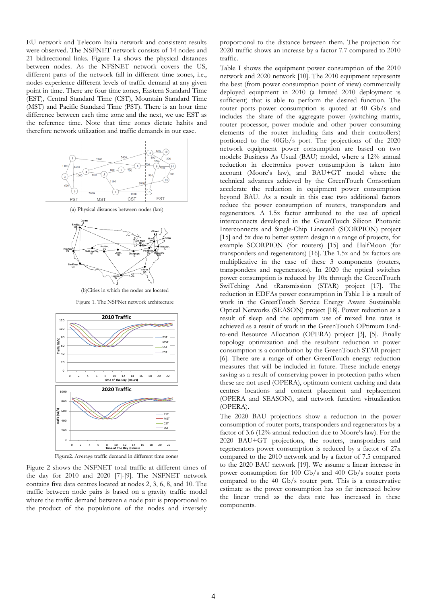EU network and Telecom Italia network and consistent results were observed. The NSFNET network consists of 14 nodes and 21 bidirectional links. Figure 1.a shows the physical distances between nodes. As the NFSNET network covers the US, different parts of the network fall in different time zones, i.e., nodes experience different levels of traffic demand at any given point in time. There are four time zones, Eastern Standard Time (EST), Central Standard Time (CST), Mountain Standard Time (MST) and Pacific Standard Time (PST). There is an hour time difference between each time zone and the next, we use EST as the reference time. Note that time zones dictate habits and therefore network utilization and traffic demands in our case.



(a) Physical distances between nodes (km)



(b)Cities in which the nodes are located

Figure 1. The NSFNet network architecture



Figure2. Average traffic demand in different time zones

Figure 2 shows the NSFNET total traffic at different times of the day for 2010 and 2020 [7]-[9]. The NSFNET network contains five data centres located at nodes 2, 3, 6, 8, and 10. The traffic between node pairs is based on a gravity traffic model where the traffic demand between a node pair is proportional to the product of the populations of the nodes and inversely

proportional to the distance between them. The projection for 2020 traffic shows an increase by a factor 7.7 compared to 2010 traffic.

Table I shows the equipment power consumption of the 2010 network and 2020 network [10]. The 2010 equipment represents the best (from power consumption point of view) commercially deployed equipment in 2010 (a limited 2010 deployment is sufficient) that is able to perform the desired function. The router ports power consumption is quoted at 40 Gb/s and includes the share of the aggregate power (switching matrix, router processor, power module and other power consuming elements of the router including fans and their controllers) portioned to the 40Gb/s port. The projections of the 2020 network equipment power consumption are based on two models: Business As Usual (BAU) model, where a 12% annual reduction in electronics power consumption is taken into account (Moore's law), and BAU+GT model where the technical advances achieved by the GreenTouch Consortium accelerate the reduction in equipment power consumption beyond BAU. As a result in this case two additional factors reduce the power consumption of routers, transponders and regenerators. A 1.5x factor attributed to the use of optical interconnects developed in the GreenTouch Silicon Photonic Interconnects and Single-Chip Linecard (SCORPION) project [15] and 5x due to better system design in a range of projects, for example SCORPION (for routers) [15] and HalfMoon (for transponders and regenerators) [16]. The 1.5x and 5x factors are multiplicative in the case of these 3 components (routers, transponders and regenerators). In 2020 the optical switches power consumption is reduced by 10x through the GreenTouch SwiTching And tRansmission (STAR) project [17]. The reduction in EDFAs power consumption in Table I is a result of work in the GreenTouch Service Energy Aware Sustainable Optical Networks (SEASON) project [18]. Power reduction as a result of sleep and the optimum use of mixed line rates is achieved as a result of work in the GreenTouch OPtimum Endto-end Resource Allocation (OPERA) project [3], [5]. Finally topology optimization and the resultant reduction in power consumption is a contribution by the GreenTouch STAR project [6]. There are a range of other GreenTouch energy reduction measures that will be included in future. These include energy saving as a result of conserving power in protection paths when these are not used (OPERA), optimum content caching and data centres locations and content placement and replacement (OPERA and SEASON), and network function virtualization (OPERA).

The 2020 BAU projections show a reduction in the power consumption of router ports, transponders and regenerators by a factor of 3.6 (12% annual reduction due to Moore's law). For the 2020 BAU+GT projections, the routers, transponders and regenerators power consumption is reduced by a factor of 27x compared to the 2010 network and by a factor of 7.5 compared to the 2020 BAU network [19]. We assume a linear increase in power consumption for 100 Gb/s and 400 Gb/s router ports compared to the 40 Gb/s router port. This is a conservative estimate as the power consumption has so far increased below the linear trend as the data rate has increased in these components.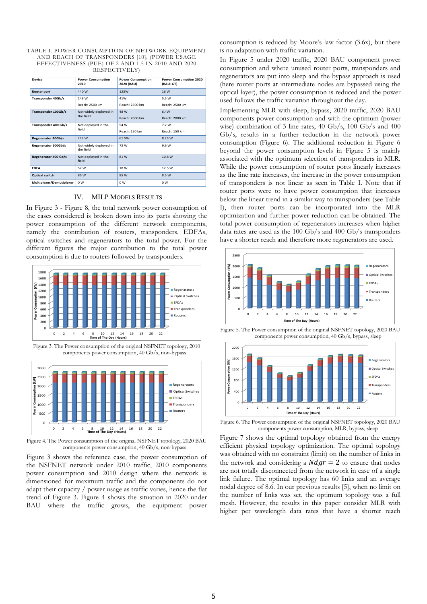| TABLE I. POWER CONSUMPTION OF NETWORK EQUIPMENT   |
|---------------------------------------------------|
| AND REACH OF TRANSPONDERS [10], (POWER USAGE      |
| EFFECTIVENESS (PUE) OF 2 AND 1.5 IN 2010 AND 2020 |
| RESPECTIVELY)                                     |

| Device                    | <b>Power Consumption</b><br>2010    | <b>Power Consumption</b><br>2020 (BAU) | <b>Power Consumption 2020</b><br>(BAU+GT) |
|---------------------------|-------------------------------------|----------------------------------------|-------------------------------------------|
| <b>Router port</b>        | 440 W                               | 123W                                   | 16 W                                      |
| Transponder 40Gb/s        | 148 W                               | 41W                                    | 5.5W                                      |
|                           | Reach: 2500 km                      | Reach: 2500 km                         | Reach: 2500 km                            |
| Transponder 100Gb/s       | Not widely deployed in<br>the field | 48 W                                   | 6.4W                                      |
|                           |                                     | Reach: 2000 km                         | Reach: 2000 km                            |
| Transponder 400 Gb/s      | Not deployed in the<br>field        | 54 W                                   | 7.2 W                                     |
|                           |                                     | Reach: 150 km                          | Reach: 150 km                             |
| <b>Regenerator 40Gb/s</b> | 222 W                               | 61.5W                                  | 8.25 W                                    |
| Regenerator 100Gb/s       | Not widely deployed in<br>the field | 72 W                                   | 9.6 W                                     |
| Regenerator 400 Gb/s      | Not deployed in the<br>field        | 81 W                                   | 10.8 W                                    |
| <b>EDFA</b>               | 52 W                                | 18 W                                   | 12.5 W                                    |
| <b>Optical switch</b>     | 85 W                                | 85 W                                   | 8.5 W                                     |
| Multiplexer/Demutiplexer  | 0W                                  | 0W                                     | 0 <sub>W</sub>                            |

## IV. MILP MODELS RESULTS

In Figure 3 - Figure 8, the total network power consumption of the cases considered is broken down into its parts showing the power consumption of the different network components, namely the contribution of routers, transponders, EDFAs, optical switches and regenerators to the total power. For the different figures the major contribution to the total power consumption is due to routers followed by transponders.



Figure 3. The Power consumption of the original NSFNET topology, 2010 components power consumption, 40 Gb/s, non-bypass



Figure 4. The Power consumption of the original NSFNET topology, 2020 BAU components power consumption, 40 Gb/s, non-bypass

Figure 3 shows the reference case, the power consumption of the NSFNET network under 2010 traffic, 2010 components power consumption and 2010 design where the network is dimensioned for maximum traffic and the components do not adapt their capacity / power usage as traffic varies, hence the flat trend of Figure 3. Figure 4 shows the situation in 2020 under BAU where the traffic grows, the equipment power

consumption is reduced by Moore's law factor (3.6x), but there is no adaptation with traffic variation.

In Figure 5 under 2020 traffic, 2020 BAU component power consumption and where unused router ports, transponders and regenerators are put into sleep and the bypass approach is used (here router ports at intermediate nodes are bypassed using the optical layer), the power consumption is reduced and the power used follows the traffic variation throughout the day.

Implementing MLR with sleep, bypass, 2020 traffic, 2020 BAU components power consumption and with the optimum (power wise) combination of 3 line rates, 40 Gb/s, 100 Gb/s and 400 Gb/s, results in a further reduction in the network power consumption (Figure 6). The additional reduction in Figure 6 beyond the power consumption levels in Figure 5 is mainly associated with the optimum selection of transponders in MLR. While the power consumption of router ports linearly increases as the line rate increases, the increase in the power consumption of transponders is not linear as seen in Table I. Note that if router ports were to have power consumption that increases below the linear trend in a similar way to transponders (see Table I), then router ports can be incorporated into the MLR optimization and further power reduction can be obtained. The total power consumption of regenerators increases when higher data rates are used as the 100 Gb/s and 400 Gb/s transponders have a shorter reach and therefore more regenerators are used.



Figure 5. The Power consumption of the original NSFNET topology, 2020 BAU components power consumption, 40 Gb/s, bypass, sleep



Figure 6. The Power consumption of the original NSFNET topology, 2020 BAU components power consumption, MLR, bypass, sleep

Figure 7 shows the optimal topology obtained from the energy efficient physical topology optimization. The optimal topology was obtained with no constraint (limit) on the number of links in the network and considering a  $Ndgr = 2$  to ensure that nodes are not totally disconnected from the network in case of a single link failure. The optimal topology has 60 links and an average nodal degree of 8.6. In our previous results [5], when no limit on the number of links was set, the optimum topology was a full mesh. However, the results in this paper consider MLR with higher per wavelength data rates that have a shorter reach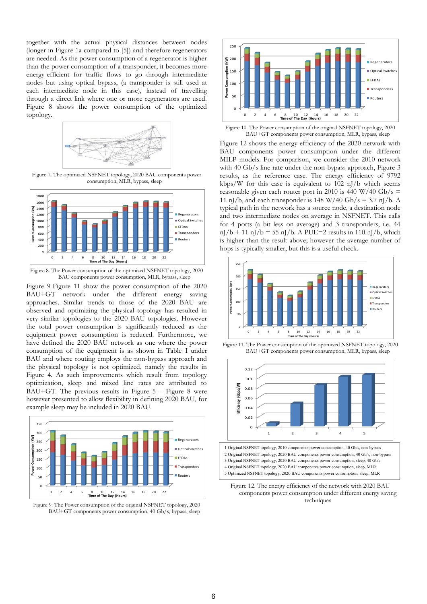together with the actual physical distances between nodes (longer in Figure 1a compared to [5]) and therefore regenerators are needed. As the power consumption of a regenerator is higher than the power consumption of a transponder, it becomes more energy-efficient for traffic flows to go through intermediate nodes but using optical bypass, (a transponder is still used at each intermediate node in this case), instead of travelling through a direct link where one or more regenerators are used. Figure 8 shows the power consumption of the optimized topology.



Figure 7. The optimized NSFNET topology, 2020 BAU components power consumption, MLR, bypass, sleep



Figure 8. The Power consumption of the optimized NSFNET topology, 2020 BAU components power consumption, MLR, bypass, sleep

Figure 9-Figure 11 show the power consumption of the 2020 BAU+GT network under the different energy saving approaches. Similar trends to those of the 2020 BAU are observed and optimizing the physical topology has resulted in very similar topologies to the 2020 BAU topologies. However the total power consumption is significantly reduced as the equipment power consumption is reduced. Furthermore, we have defined the 2020 BAU network as one where the power consumption of the equipment is as shown in Table I under BAU and where routing employs the non-bypass approach and the physical topology is not optimized, namely the results in Figure 4. As such improvements which result from topology optimization, sleep and mixed line rates are attributed to BAU+GT. The previous results in Figure  $5 -$  Figure 8 were however presented to allow flexibility in defining 2020 BAU, for example sleep may be included in 2020 BAU.



Figure 9. The Power consumption of the original NSFNET topology, 2020 BAU+GT components power consumption, 40 Gb/s, bypass, sleep



Figure 10. The Power consumption of the original NSFNET topology, 2020 BAU+GT components power consumption, MLR, bypass, sleep

Figure 12 shows the energy efficiency of the 2020 network with BAU components power consumption under the different MILP models. For comparison, we consider the 2010 network with 40 Gb/s line rate under the non-bypass approach, Figure 3 results, as the reference case. The energy efficiency of 9792 kbps/W for this case is equivalent to 102 nJ/b which seems reasonable given each router port in 2010 is 440 W/40 Gb/s = 11 nJ/b, and each transponder is 148 W/40 Gb/s = 3.7 nJ/b. A typical path in the network has a source node, a destination node and two intermediate nodes on average in NSFNET. This calls for 4 ports (a bit less on average) and 3 transponders, i.e. 44  $nJ/b + 11 nJ/b = 55 nJ/b$ . A PUE=2 results in 110 nJ/b, which is higher than the result above; however the average number of hops is typically smaller, but this is a useful check.



Figure 11. The Power consumption of the optimized NSFNET topology, 2020 BAU+GT components power consumption, MLR, bypass, sleep



Figure 12. The energy efficiency of the network with 2020 BAU components power consumption under different energy saving techniques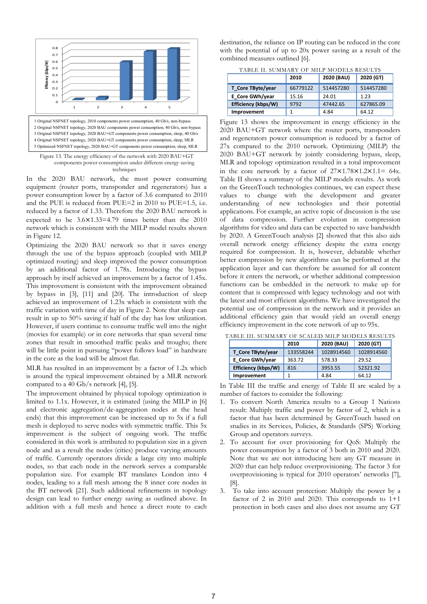

techniques

In the 2020 BAU network, the most power consuming equipment (router ports, transponder and regenerators) has a power consumption lower by a factor of 3.6 compared to 2010 and the PUE is reduced from PUE=2 in 2010 to PUE=1.5, i.e. reduced by a factor of 1.33. Therefore the 2020 BAU network is expected to be  $3.6 \times 1.33 = 4.79$  times better than the  $2010$ network which is consistent with the MILP model results shown in Figure 12.

Optimizing the 2020 BAU network so that it saves energy through the use of the bypass approach (coupled with MILP optimized routing) and sleep improved the power consumption by an additional factor of 1.78x. Introducing the bypass approach by itself achieved an improvement by a factor of 1.45x. This improvement is consistent with the improvement obtained by bypass in [3], [11] and [20]. The introduction of sleep achieved an improvement of 1.23x which is consistent with the traffic variation with time of day in Figure 2. Note that sleep can result in up to 50% saving if half of the day has low utilization. However, if users continue to consume traffic well into the night (movies for example) or in core networks that span several time zones that result in smoothed traffic peaks and troughs; there will be little point in pursuing "power follows load" in hardware in the core as the load will be almost flat.

MLR has resulted in an improvement by a factor of 1.2x which is around the typical improvement obtained by a MLR network compared to a 40 Gb/s network [4], [5].

The improvement obtained by physical topology optimization is limited to 1.1x. However, it is estimated (using the MILP in [6] and electronic aggregation/de-aggregation nodes at the head ends) that this improvement can be increased up to 5x if a full mesh is deployed to serve nodes with symmetric traffic. This 5x improvement is the subject of ongoing work. The traffic considered in this work is attributed to population size in a given node and as a result the nodes (cities) produce varying amounts of traffic. Currently operators divide a large city into multiple nodes, so that each node in the network serves a comparable population size. For example BT translates London into 4 nodes, leading to a full mesh among the 8 inner core nodes in the BT network [21]. Such additional refinements in topology design can lead to further energy saving as outlined above. In addition with a full mesh and hence a direct route to each destination, the reliance on IP routing can be reduced in the core with the potential of up to 20x power saving as a result of the combined measures outlined [6].

TABLE II. SUMMARY OF MILP MODELS RESULTS

|                     | 2010     | 2020 (BAU) | 2020 (GT) |
|---------------------|----------|------------|-----------|
| T Core TByte/year   | 66779122 | 514457280  | 514457280 |
| E Core GWh/year     | 15.16    | 24.01      | 1.23      |
| Efficiency (kbps/W) | 9792     | 47442.65   | 627865.09 |
| Improvement         |          | 4.84       | 64.12     |

Figure 13 shows the improvement in energy efficiency in the 2020 BAU+GT network where the router ports, transponders and regenerators power consumption is reduced by a factor of 27x compared to the 2010 network. Optimizing (MILP) the 2020 BAU+GT network by jointly considering bypass, sleep, MLR and topology optimization resulted in a total improvement in the core network by a factor of  $27 \times 1.78 \times 1.2 \times 1.1 = 64x$ . Table II shows a summary of the MILP models results. As work on the GreenTouch technologies continues, we can expect these values to change with the development and greater understanding of new technologies and their potential applications. For example, an active topic of discussion is the use of data compression. Further evolution in compression algorithms for video and data can be expected to save bandwidth by 2020. A GreenTouch analysis [2] showed that this also aids overall network energy efficiency despite the extra energy required for compression. It is, however, debatable whether better compression by new algorithms can be performed at the application layer and can therefore be assumed for all content before it enters the network, or whether additional compression functions can be embedded in the network to make up for content that is compressed with legacy technology and not with the latest and most efficient algorithms. We have investigated the potential use of compression in the network and it provides an additional efficiency gain that would yield an overall energy efficiency improvement in the core network of up to 95x.

|                     | 2010      | 2020 (BAU) | 2020 (GT)  |
|---------------------|-----------|------------|------------|
| T Core TByte/year   | 133558244 | 1028914560 | 1028914560 |
| E Core GWh/year     | 363.72    | 578.33     | 29.52      |
| Efficiency (kbps/W) | 816       | 3953.55    | 52321.92   |
| Improvement         |           | 4.84       | 64.12      |

TABLE III. SUMMARY OF SCALED MILP MODELS RESULTS

In Table III the traffic and energy of Table II are scaled by a number of factors to consider the following:

- 1. To convert North America results to a Group 1 Nations result: Multiply traffic and power by factor of 2, which is a factor that has been determined by GreenTouch based on studies in its Services, Policies, & Standards (SPS) Working Group and operators surveys.
- 2. To account for over provisioning for QoS: Multiply the power consumption by a factor of 3 both in 2010 and 2020. Note that we are not introducing here any GT measure in 2020 that can help reduce overprovisioning. The factor 3 for overprovisioning is typical for 2010 operators' networks [7], [8].
- 3. To take into account protection: Multiply the power by a factor of 2 in 2010 and 2020. This corresponds to  $1+1$ protection in both cases and also does not assume any GT